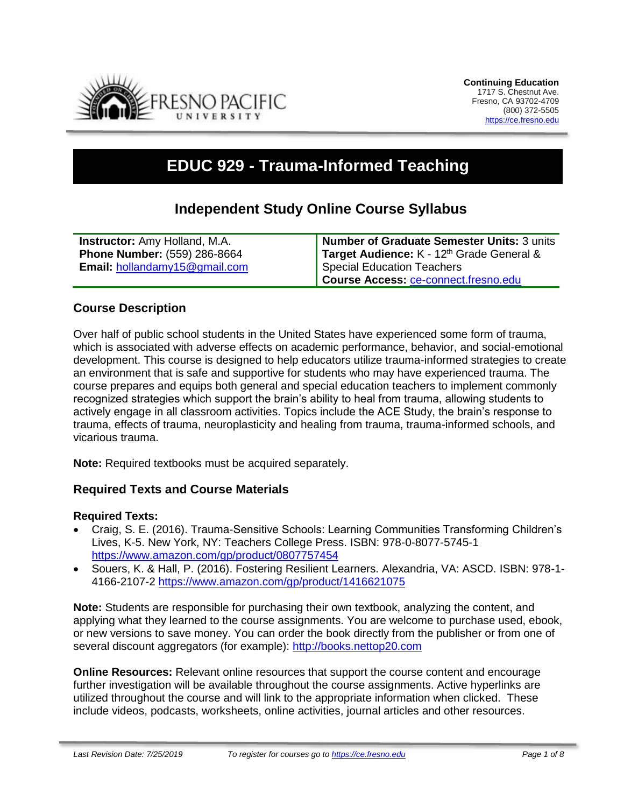

# **EDUC 929 - Trauma-Informed Teaching**

# **Independent Study Online Course Syllabus**

| <b>Instructor:</b> Amy Holland, M.A. | Number of Graduate Semester Units: 3 units |
|--------------------------------------|--------------------------------------------|
| <b>Phone Number: (559) 286-8664</b>  | Target Audience: K - 12th Grade General &  |
| <b>Email:</b> hollandamy15@gmail.com | Special Education Teachers                 |
|                                      | Course Access: ce-connect.fresno.edu       |

# **Course Description**

Over half of public school students in the United States have experienced some form of trauma, which is associated with adverse effects on academic performance, behavior, and social-emotional development. This course is designed to help educators utilize trauma-informed strategies to create an environment that is safe and supportive for students who may have experienced trauma. The course prepares and equips both general and special education teachers to implement commonly recognized strategies which support the brain's ability to heal from trauma, allowing students to actively engage in all classroom activities. Topics include the ACE Study, the brain's response to trauma, effects of trauma, neuroplasticity and healing from trauma, trauma-informed schools, and vicarious trauma.

**Note:** Required textbooks must be acquired separately.

# **Required Texts and Course Materials**

#### **Required Texts:**

- Craig, S. E. (2016). Trauma-Sensitive Schools: Learning Communities Transforming Children's Lives, K-5. New York, NY: Teachers College Press. ISBN: 978-0-8077-5745-1 <https://www.amazon.com/gp/product/0807757454>
- Souers, K. & Hall, P. (2016). Fostering Resilient Learners. Alexandria, VA: ASCD. ISBN: 978-1- 4166-2107-2<https://www.amazon.com/gp/product/1416621075>

**Note:** Students are responsible for purchasing their own textbook, analyzing the content, and applying what they learned to the course assignments. You are welcome to purchase used, ebook, or new versions to save money. You can order the book directly from the publisher or from one of several discount aggregators (for example): [http://books.nettop20.com](http://books.nettop20.com/)

**Online Resources:** Relevant online resources that support the course content and encourage further investigation will be available throughout the course assignments. Active hyperlinks are utilized throughout the course and will link to the appropriate information when clicked. These include videos, podcasts, worksheets, online activities, journal articles and other resources.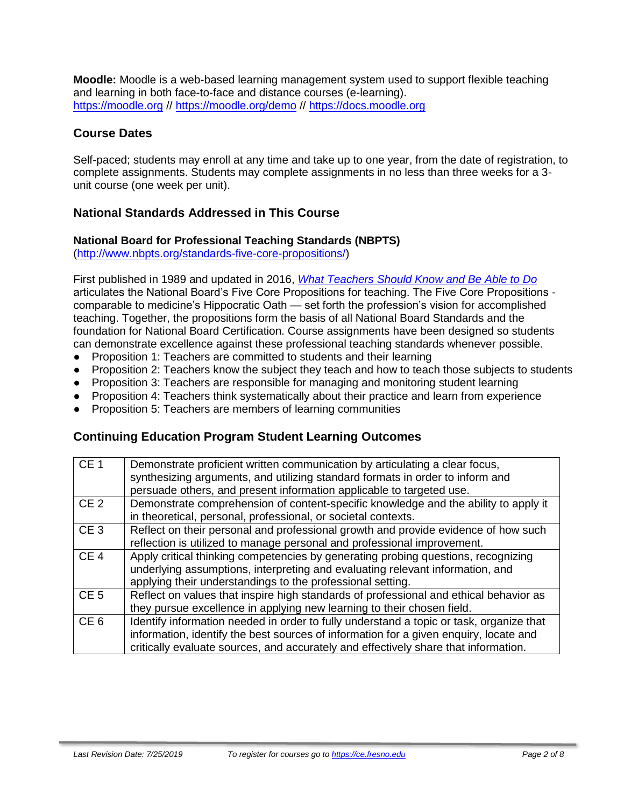**Moodle:** Moodle is a web-based learning management system used to support flexible teaching and learning in both face-to-face and distance courses (e-learning). [https://moodle.org](https://moodle.org/) //<https://moodle.org/demo> // [https://docs.moodle.org](https://docs.moodle.org/)

# **Course Dates**

Self-paced; students may enroll at any time and take up to one year, from the date of registration, to complete assignments. Students may complete assignments in no less than three weeks for a 3 unit course (one week per unit).

# **National Standards Addressed in This Course**

#### **National Board for Professional Teaching Standards (NBPTS)**

[\(http://www.nbpts.org/standards-five-core-propositions/\)](http://www.nbpts.org/standards-five-core-propositions/)

First published in 1989 and updated in 2016, *[What Teachers Should Know and Be Able to Do](http://www.accomplishedteacher.org/)* articulates the National Board's Five Core Propositions for teaching. The Five Core Propositions comparable to medicine's Hippocratic Oath — set forth the profession's vision for accomplished teaching. Together, the propositions form the basis of all National Board Standards and the foundation for National Board Certification. Course assignments have been designed so students can demonstrate excellence against these professional teaching standards whenever possible.

- Proposition 1: Teachers are committed to students and their learning
- Proposition 2: Teachers know the subject they teach and how to teach those subjects to students
- Proposition 3: Teachers are responsible for managing and monitoring student learning
- Proposition 4: Teachers think systematically about their practice and learn from experience
- Proposition 5: Teachers are members of learning communities

# **Continuing Education Program Student Learning Outcomes**

| CE <sub>1</sub> | Demonstrate proficient written communication by articulating a clear focus,<br>synthesizing arguments, and utilizing standard formats in order to inform and<br>persuade others, and present information applicable to targeted use.                                    |
|-----------------|-------------------------------------------------------------------------------------------------------------------------------------------------------------------------------------------------------------------------------------------------------------------------|
| CE <sub>2</sub> | Demonstrate comprehension of content-specific knowledge and the ability to apply it<br>in theoretical, personal, professional, or societal contexts.                                                                                                                    |
| CE <sub>3</sub> | Reflect on their personal and professional growth and provide evidence of how such<br>reflection is utilized to manage personal and professional improvement.                                                                                                           |
| CE <sub>4</sub> | Apply critical thinking competencies by generating probing questions, recognizing<br>underlying assumptions, interpreting and evaluating relevant information, and<br>applying their understandings to the professional setting.                                        |
| CE <sub>5</sub> | Reflect on values that inspire high standards of professional and ethical behavior as<br>they pursue excellence in applying new learning to their chosen field.                                                                                                         |
| CE <sub>6</sub> | Identify information needed in order to fully understand a topic or task, organize that<br>information, identify the best sources of information for a given enquiry, locate and<br>critically evaluate sources, and accurately and effectively share that information. |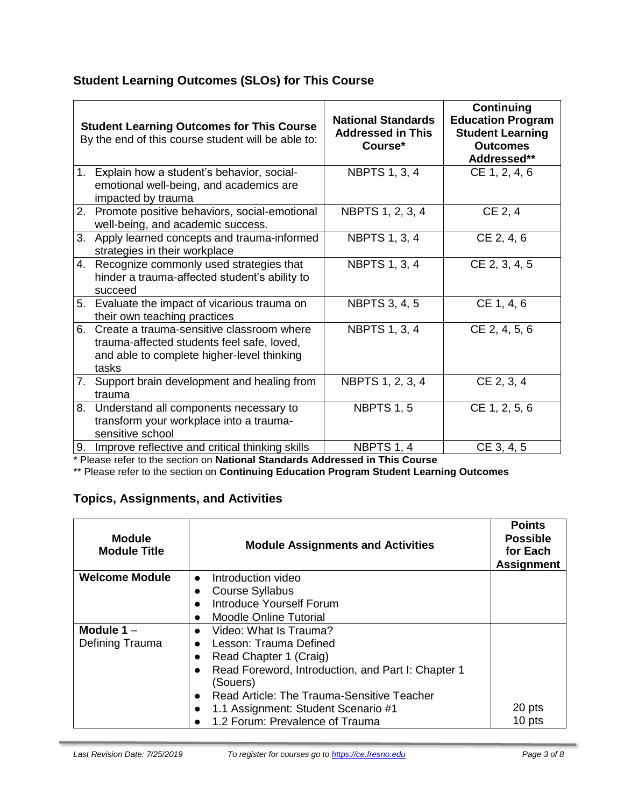# **Student Learning Outcomes (SLOs) for This Course**

|    | <b>Student Learning Outcomes for This Course</b><br>By the end of this course student will be able to:                                         | <b>National Standards</b><br><b>Addressed in This</b><br>Course* | <b>Continuing</b><br><b>Education Program</b><br><b>Student Learning</b><br><b>Outcomes</b><br>Addressed** |
|----|------------------------------------------------------------------------------------------------------------------------------------------------|------------------------------------------------------------------|------------------------------------------------------------------------------------------------------------|
|    | 1. Explain how a student's behavior, social-<br>emotional well-being, and academics are<br>impacted by trauma                                  | <b>NBPTS 1, 3, 4</b>                                             | CE 1, 2, 4, 6                                                                                              |
|    | 2. Promote positive behaviors, social-emotional<br>well-being, and academic success.                                                           | NBPTS 1, 2, 3, 4                                                 | CE 2, 4                                                                                                    |
|    | 3. Apply learned concepts and trauma-informed<br>strategies in their workplace                                                                 | <b>NBPTS 1, 3, 4</b>                                             | CE 2, 4, 6                                                                                                 |
|    | 4. Recognize commonly used strategies that<br>hinder a trauma-affected student's ability to<br>succeed                                         | <b>NBPTS 1, 3, 4</b>                                             | CE 2, 3, 4, 5                                                                                              |
|    | 5. Evaluate the impact of vicarious trauma on<br>their own teaching practices                                                                  | <b>NBPTS 3, 4, 5</b>                                             | CE 1, 4, 6                                                                                                 |
| 6. | Create a trauma-sensitive classroom where<br>trauma-affected students feel safe, loved,<br>and able to complete higher-level thinking<br>tasks | <b>NBPTS 1, 3, 4</b>                                             | CE 2, 4, 5, 6                                                                                              |
|    | 7. Support brain development and healing from<br>trauma                                                                                        | NBPTS 1, 2, 3, 4                                                 | CE 2, 3, 4                                                                                                 |
| 8. | Understand all components necessary to<br>transform your workplace into a trauma-<br>sensitive school                                          | <b>NBPTS 1, 5</b>                                                | CE 1, 2, 5, 6                                                                                              |
| 9. | Improve reflective and critical thinking skills                                                                                                | NBPTS 1, 4                                                       | CE 3, 4, 5                                                                                                 |

\* Please refer to the section on **National Standards Addressed in This Course**

\*\* Please refer to the section on **Continuing Education Program Student Learning Outcomes**

# **Topics, Assignments, and Activities**

| <b>Module</b><br><b>Module Title</b> | <b>Module Assignments and Activities</b>           | <b>Points</b><br><b>Possible</b><br>for Each<br><b>Assignment</b> |
|--------------------------------------|----------------------------------------------------|-------------------------------------------------------------------|
| <b>Welcome Module</b>                | Introduction video<br>$\bullet$                    |                                                                   |
|                                      | <b>Course Syllabus</b>                             |                                                                   |
|                                      | <b>Introduce Yourself Forum</b>                    |                                                                   |
|                                      | Moodle Online Tutorial                             |                                                                   |
| Module $1 -$                         | Video: What Is Trauma?<br>$\bullet$                |                                                                   |
| Defining Trauma                      | Lesson: Trauma Defined                             |                                                                   |
|                                      | Read Chapter 1 (Craig)                             |                                                                   |
|                                      | Read Foreword, Introduction, and Part I: Chapter 1 |                                                                   |
|                                      | (Souers)                                           |                                                                   |
|                                      | Read Article: The Trauma-Sensitive Teacher         |                                                                   |
|                                      | 1.1 Assignment: Student Scenario #1                | 20 pts                                                            |
|                                      | 1.2 Forum: Prevalence of Trauma                    | 10 pts                                                            |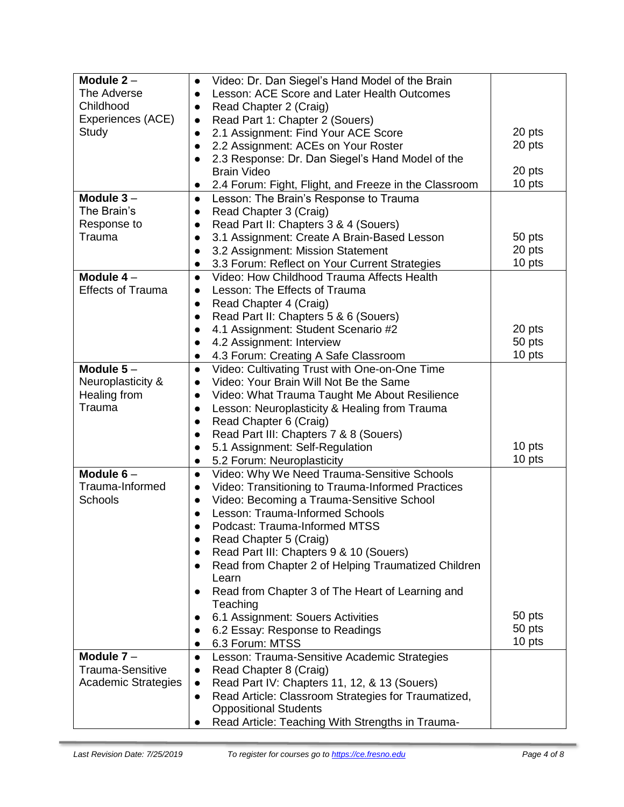| Module $2 -$               | Video: Dr. Dan Siegel's Hand Model of the Brain<br>$\bullet$       |        |
|----------------------------|--------------------------------------------------------------------|--------|
| The Adverse                | Lesson: ACE Score and Later Health Outcomes<br>$\bullet$           |        |
| Childhood                  | Read Chapter 2 (Craig)<br>$\bullet$                                |        |
| Experiences (ACE)          | Read Part 1: Chapter 2 (Souers)                                    |        |
| Study                      | 2.1 Assignment: Find Your ACE Score<br>$\bullet$                   | 20 pts |
|                            | 2.2 Assignment: ACEs on Your Roster                                | 20 pts |
|                            | 2.3 Response: Dr. Dan Siegel's Hand Model of the                   |        |
|                            | <b>Brain Video</b>                                                 | 20 pts |
|                            | 2.4 Forum: Fight, Flight, and Freeze in the Classroom<br>$\bullet$ | 10 pts |
| Module $3-$                | Lesson: The Brain's Response to Trauma<br>$\bullet$                |        |
| The Brain's                | Read Chapter 3 (Craig)                                             |        |
| Response to                | Read Part II: Chapters 3 & 4 (Souers)                              |        |
| Trauma                     | 3.1 Assignment: Create A Brain-Based Lesson                        | 50 pts |
|                            | 3.2 Assignment: Mission Statement                                  | 20 pts |
|                            | 3.3 Forum: Reflect on Your Current Strategies                      | 10 pts |
| Module $4-$                | Video: How Childhood Trauma Affects Health<br>$\bullet$            |        |
| <b>Effects of Trauma</b>   | Lesson: The Effects of Trauma<br>$\bullet$                         |        |
|                            | Read Chapter 4 (Craig)                                             |        |
|                            | Read Part II: Chapters 5 & 6 (Souers)                              |        |
|                            | 4.1 Assignment: Student Scenario #2                                | 20 pts |
|                            | 4.2 Assignment: Interview                                          | 50 pts |
|                            | 4.3 Forum: Creating A Safe Classroom                               | 10 pts |
| Module $5-$                | Video: Cultivating Trust with One-on-One Time<br>$\bullet$         |        |
| Neuroplasticity &          | Video: Your Brain Will Not Be the Same<br>$\bullet$                |        |
| Healing from               | Video: What Trauma Taught Me About Resilience                      |        |
| Trauma                     | Lesson: Neuroplasticity & Healing from Trauma                      |        |
|                            | Read Chapter 6 (Craig)                                             |        |
|                            | Read Part III: Chapters 7 & 8 (Souers)                             |        |
|                            | 5.1 Assignment: Self-Regulation                                    | 10 pts |
|                            | 5.2 Forum: Neuroplasticity<br>$\bullet$                            | 10 pts |
| Module $6-$                | Video: Why We Need Trauma-Sensitive Schools<br>$\bullet$           |        |
| Trauma-Informed            | Video: Transitioning to Trauma-Informed Practices<br>$\bullet$     |        |
| Schools                    | Video: Becoming a Trauma-Sensitive School<br>$\bullet$             |        |
|                            | Lesson: Trauma-Informed Schools                                    |        |
|                            | Podcast: Trauma-Informed MTSS                                      |        |
|                            | Read Chapter 5 (Craig)                                             |        |
|                            | Read Part III: Chapters 9 & 10 (Souers)                            |        |
|                            | Read from Chapter 2 of Helping Traumatized Children                |        |
|                            | Learn                                                              |        |
|                            | Read from Chapter 3 of The Heart of Learning and                   |        |
|                            | Teaching                                                           |        |
|                            | 6.1 Assignment: Souers Activities                                  | 50 pts |
|                            | 6.2 Essay: Response to Readings                                    | 50 pts |
|                            | 6.3 Forum: MTSS                                                    | 10 pts |
| Module $7 -$               | Lesson: Trauma-Sensitive Academic Strategies<br>$\bullet$          |        |
| Trauma-Sensitive           | Read Chapter 8 (Craig)                                             |        |
| <b>Academic Strategies</b> | Read Part IV: Chapters 11, 12, & 13 (Souers)<br>$\bullet$          |        |
|                            | Read Article: Classroom Strategies for Traumatized,                |        |
|                            | <b>Oppositional Students</b>                                       |        |
|                            | Read Article: Teaching With Strengths in Trauma-                   |        |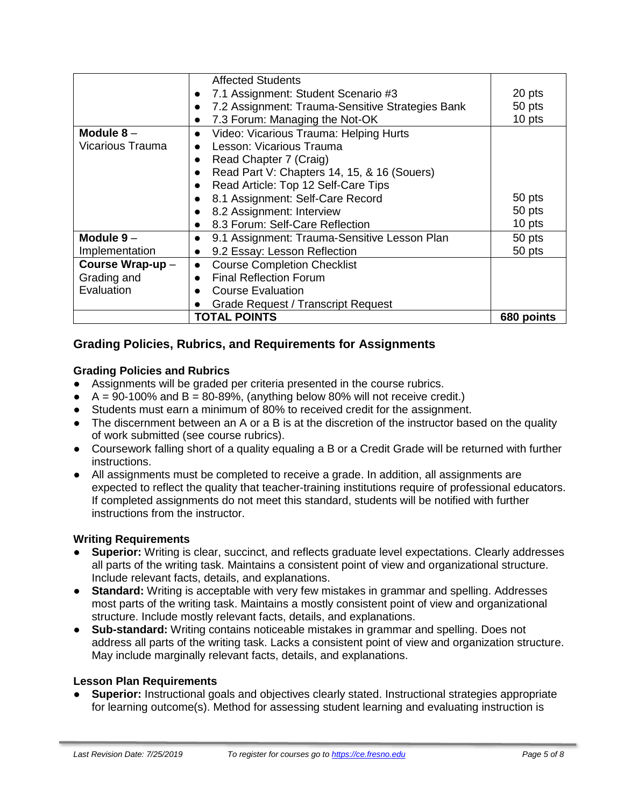|                  | <b>Affected Students</b>                         |            |
|------------------|--------------------------------------------------|------------|
|                  | 7.1 Assignment: Student Scenario #3              | 20 pts     |
|                  | 7.2 Assignment: Trauma-Sensitive Strategies Bank | 50 pts     |
|                  | 7.3 Forum: Managing the Not-OK                   | 10 pts     |
| Module $8-$      | Video: Vicarious Trauma: Helping Hurts           |            |
| Vicarious Trauma | Lesson: Vicarious Trauma                         |            |
|                  | Read Chapter 7 (Craig)                           |            |
|                  | Read Part V: Chapters 14, 15, & 16 (Souers)      |            |
|                  | Read Article: Top 12 Self-Care Tips              |            |
|                  | 8.1 Assignment: Self-Care Record                 | 50 pts     |
|                  | 8.2 Assignment: Interview                        | 50 pts     |
|                  | 8.3 Forum: Self-Care Reflection                  | 10 pts     |
| Module $9-$      | 9.1 Assignment: Trauma-Sensitive Lesson Plan     | 50 pts     |
| Implementation   | 9.2 Essay: Lesson Reflection                     | 50 pts     |
| Course Wrap-up - | <b>Course Completion Checklist</b>               |            |
| Grading and      | <b>Final Reflection Forum</b>                    |            |
| Evaluation       | <b>Course Evaluation</b>                         |            |
|                  | <b>Grade Request / Transcript Request</b>        |            |
|                  | <b>TOTAL POINTS</b>                              | 680 points |

# **Grading Policies, Rubrics, and Requirements for Assignments**

#### **Grading Policies and Rubrics**

- Assignments will be graded per criteria presented in the course rubrics.
- $\bullet$  A = 90-100% and B = 80-89%, (anything below 80% will not receive credit.)
- Students must earn a minimum of 80% to received credit for the assignment.
- The discernment between an A or a B is at the discretion of the instructor based on the quality of work submitted (see course rubrics).
- Coursework falling short of a quality equaling a B or a Credit Grade will be returned with further instructions.
- All assignments must be completed to receive a grade. In addition, all assignments are expected to reflect the quality that teacher-training institutions require of professional educators. If completed assignments do not meet this standard, students will be notified with further instructions from the instructor.

#### **Writing Requirements**

- **Superior:** Writing is clear, succinct, and reflects graduate level expectations. Clearly addresses all parts of the writing task. Maintains a consistent point of view and organizational structure. Include relevant facts, details, and explanations.
- **Standard:** Writing is acceptable with very few mistakes in grammar and spelling. Addresses most parts of the writing task. Maintains a mostly consistent point of view and organizational structure. Include mostly relevant facts, details, and explanations.
- **Sub-standard:** Writing contains noticeable mistakes in grammar and spelling. Does not address all parts of the writing task. Lacks a consistent point of view and organization structure. May include marginally relevant facts, details, and explanations.

#### **Lesson Plan Requirements**

● **Superior:** Instructional goals and objectives clearly stated. Instructional strategies appropriate for learning outcome(s). Method for assessing student learning and evaluating instruction is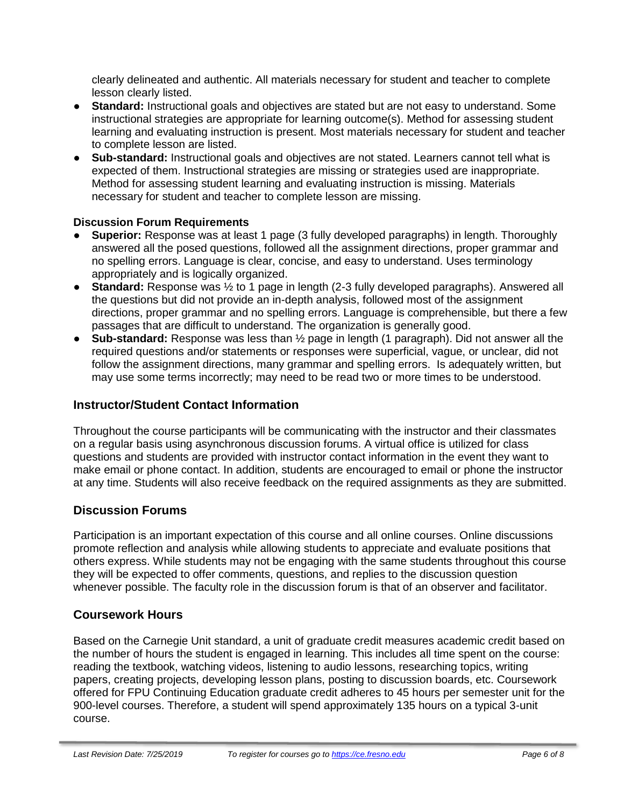clearly delineated and authentic. All materials necessary for student and teacher to complete lesson clearly listed.

- **Standard:** Instructional goals and objectives are stated but are not easy to understand. Some instructional strategies are appropriate for learning outcome(s). Method for assessing student learning and evaluating instruction is present. Most materials necessary for student and teacher to complete lesson are listed.
- **Sub-standard:** Instructional goals and objectives are not stated. Learners cannot tell what is expected of them. Instructional strategies are missing or strategies used are inappropriate. Method for assessing student learning and evaluating instruction is missing. Materials necessary for student and teacher to complete lesson are missing.

#### **Discussion Forum Requirements**

- **Superior:** Response was at least 1 page (3 fully developed paragraphs) in length. Thoroughly answered all the posed questions, followed all the assignment directions, proper grammar and no spelling errors. Language is clear, concise, and easy to understand. Uses terminology appropriately and is logically organized.
- **Standard:** Response was ½ to 1 page in length (2-3 fully developed paragraphs). Answered all the questions but did not provide an in-depth analysis, followed most of the assignment directions, proper grammar and no spelling errors. Language is comprehensible, but there a few passages that are difficult to understand. The organization is generally good.
- **Sub-standard:** Response was less than ½ page in length (1 paragraph). Did not answer all the required questions and/or statements or responses were superficial, vague, or unclear, did not follow the assignment directions, many grammar and spelling errors. Is adequately written, but may use some terms incorrectly; may need to be read two or more times to be understood.

### **Instructor/Student Contact Information**

Throughout the course participants will be communicating with the instructor and their classmates on a regular basis using asynchronous discussion forums. A virtual office is utilized for class questions and students are provided with instructor contact information in the event they want to make email or phone contact. In addition, students are encouraged to email or phone the instructor at any time. Students will also receive feedback on the required assignments as they are submitted.

# **Discussion Forums**

Participation is an important expectation of this course and all online courses. Online discussions promote reflection and analysis while allowing students to appreciate and evaluate positions that others express. While students may not be engaging with the same students throughout this course they will be expected to offer comments, questions, and replies to the discussion question whenever possible. The faculty role in the discussion forum is that of an observer and facilitator.

#### **Coursework Hours**

Based on the Carnegie Unit standard, a unit of graduate credit measures academic credit based on the number of hours the student is engaged in learning. This includes all time spent on the course: reading the textbook, watching videos, listening to audio lessons, researching topics, writing papers, creating projects, developing lesson plans, posting to discussion boards, etc. Coursework offered for FPU Continuing Education graduate credit adheres to 45 hours per semester unit for the 900-level courses. Therefore, a student will spend approximately 135 hours on a typical 3-unit course.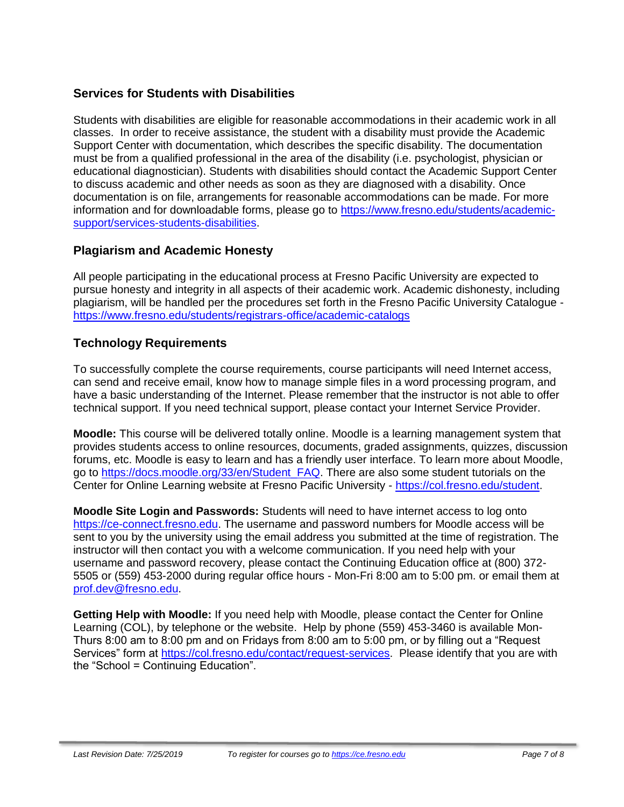# **Services for Students with Disabilities**

Students with disabilities are eligible for reasonable accommodations in their academic work in all classes. In order to receive assistance, the student with a disability must provide the Academic Support Center with documentation, which describes the specific disability. The documentation must be from a qualified professional in the area of the disability (i.e. psychologist, physician or educational diagnostician). Students with disabilities should contact the Academic Support Center to discuss academic and other needs as soon as they are diagnosed with a disability. Once documentation is on file, arrangements for reasonable accommodations can be made. For more information and for downloadable forms, please go to [https://www.fresno.edu/students/academic](https://www.fresno.edu/students/academic-support/services-students-disabilities)[support/services-students-disabilities.](https://www.fresno.edu/students/academic-support/services-students-disabilities)

# **Plagiarism and Academic Honesty**

All people participating in the educational process at Fresno Pacific University are expected to pursue honesty and integrity in all aspects of their academic work. Academic dishonesty, including plagiarism, will be handled per the procedures set forth in the Fresno Pacific University Catalogue <https://www.fresno.edu/students/registrars-office/academic-catalogs>

# **Technology Requirements**

To successfully complete the course requirements, course participants will need Internet access, can send and receive email, know how to manage simple files in a word processing program, and have a basic understanding of the Internet. Please remember that the instructor is not able to offer technical support. If you need technical support, please contact your Internet Service Provider.

**Moodle:** This course will be delivered totally online. Moodle is a learning management system that provides students access to online resources, documents, graded assignments, quizzes, discussion forums, etc. Moodle is easy to learn and has a friendly user interface. To learn more about Moodle, go to [https://docs.moodle.org/33/en/Student\\_FAQ.](https://docs.moodle.org/33/en/Student_FAQ) There are also some student tutorials on the Center for Online Learning website at Fresno Pacific University - [https://col.fresno.edu/student.](https://col.fresno.edu/student)

**Moodle Site Login and Passwords:** Students will need to have internet access to log onto [https://ce-connect.fresno.edu.](https://ce-connect.fresno.edu/) The username and password numbers for Moodle access will be sent to you by the university using the email address you submitted at the time of registration. The instructor will then contact you with a welcome communication. If you need help with your username and password recovery, please contact the Continuing Education office at (800) 372- 5505 or (559) 453-2000 during regular office hours - Mon-Fri 8:00 am to 5:00 pm. or email them at [prof.dev@fresno.edu.](mailto:prof.dev@fresno.edu)

**Getting Help with Moodle:** If you need help with Moodle, please contact the Center for Online Learning (COL), by telephone or the website. Help by phone (559) 453-3460 is available Mon-Thurs 8:00 am to 8:00 pm and on Fridays from 8:00 am to 5:00 pm, or by filling out a "Request Services" form at [https://col.fresno.edu/contact/request-services.](https://col.fresno.edu/contact/request-services) Please identify that you are with the "School = Continuing Education".